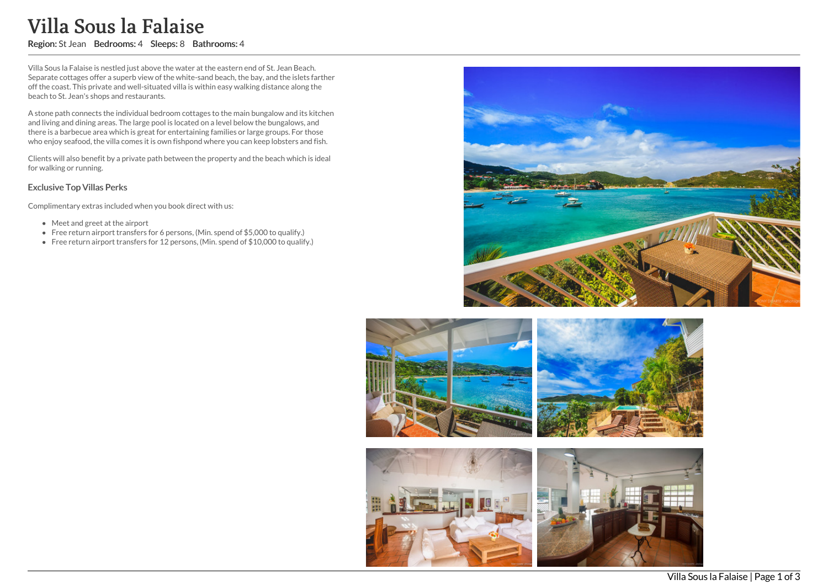## Villa Sous la Falaise

## Region: St Jean Bedrooms: 4 Sleeps: 8 Bathrooms: 4

Villa Sous la Falaise is nestled just above the water at the eastern end of St. Jean Beach. Separate cottages offer a superb view of the white-sand beach, the bay, and the islets farther off the coast. This private and well-situated villa is within easy walking distance along the beach to St. Jean's shops and restaurants.

A stone path connects the individual bedroom cottages to the main bungalow and its kitchen and living and dining areas. The large pool is located on a level below the bungalows, and there is a barbecue area which is great for entertaining families or large groups. For those who enjoy seafood, the villa comes it is own fishpond where you can keep lobsters and fish.

Clients will also benefit by a private path between the property and the beach which is ideal for walking or running.

## Exclusive Top Villas Perks

Complimentary extras included when you book direct with us:

- Meet and greet at the airport
- Free return airport transfers for 6 persons, (Min. spend of \$5,000 to qualify.)
- Free return airport transfers for 12 persons, (Min. spend of \$10,000 to qualify.)



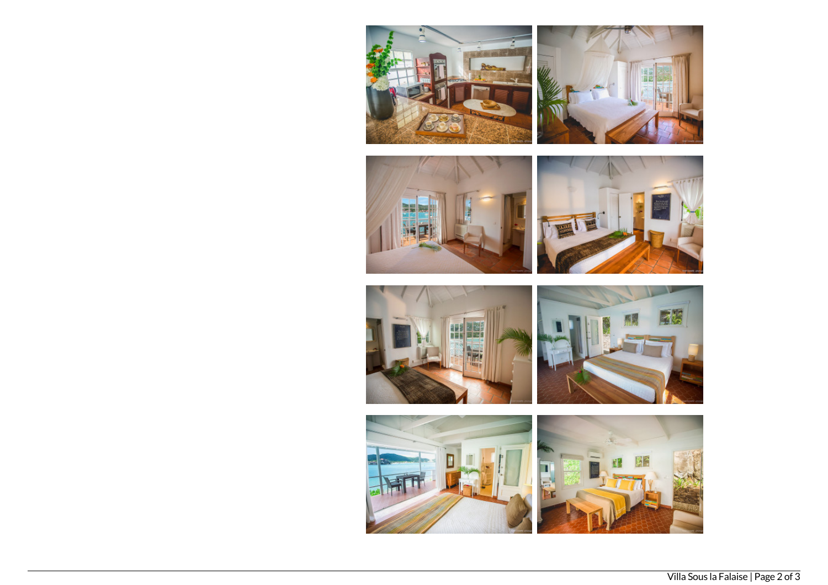